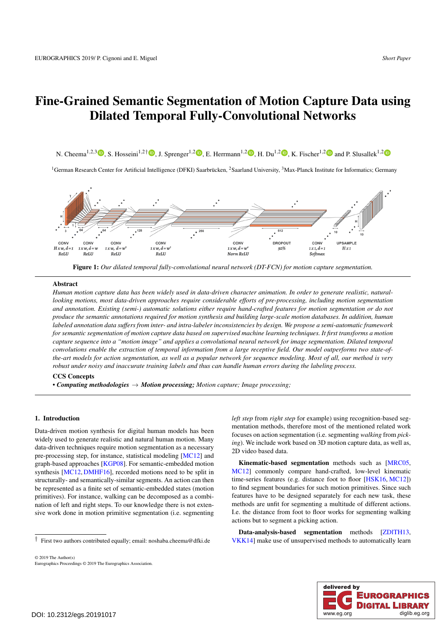# <span id="page-0-1"></span>Fine-Grained Semantic Segmentation of Motion Capture Data using Dilated Temporal Fully-Convolutional Networks

N. Cheema<sup>1[,](https://orcid.org/0000-0003-1052-9883)[2](https://orcid.org/0000-0002-2189-2429),3</sup>**D**, S. Hosseini<sup>1,2†</sup>**D**, J. Sprenger<sup>1,2</sup>**D**, E. Herrmann<sup>1,2</sup>**D**, H. Du<sup>1,2</sup>**D**, K. Fischer<sup>1,2</sup>**D** and P. Slusallek<sup>1,2</sup>

<sup>1</sup>German Research Center for Artificial Intelligence (DFKI) Saarbrücken, <sup>2</sup>Saarland University, <sup>3</sup>Max-Planck Institute for Informatics; Germany



<span id="page-0-0"></span>Figure 1: *Our dilated temporal fully-convolutional neural network (DT-FCN) for motion capture segmentation.*

# Abstract

*Human motion capture data has been widely used in data-driven character animation. In order to generate realistic, naturallooking motions, most data-driven approaches require considerable efforts of pre-processing, including motion segmentation and annotation. Existing (semi-) automatic solutions either require hand-crafted features for motion segmentation or do not produce the semantic annotations required for motion synthesis and building large-scale motion databases. In addition, human labeled annotation data suffers from inter- and intra-labeler inconsistencies by design. We propose a semi-automatic framework for semantic segmentation of motion capture data based on supervised machine learning techniques. It first transforms a motion capture sequence into a "motion image" and applies a convolutional neural network for image segmentation. Dilated temporal convolutions enable the extraction of temporal information from a large receptive field. Our model outperforms two state-ofthe-art models for action segmentation, as well as a popular network for sequence modeling. Most of all, our method is very robust under noisy and inaccurate training labels and thus can handle human errors during the labeling process.*

#### CCS Concepts

*• Computing methodologies* → *Motion processing; Motion capture; Image processing;*

# 1. Introduction

Data-driven motion synthesis for digital human models has been widely used to generate realistic and natural human motion. Many data-driven techniques require motion segmentation as a necessary pre-processing step, for instance, statistical modeling [\[MC12\]](#page-3-0) and graph-based approaches [\[KGP08\]](#page-3-1). For semantic-embedded motion synthesis [\[MC12,](#page-3-0) [DMHF16\]](#page-3-2), recorded motions need to be split in structurally- and semantically-similar segments. An action can then be represented as a finite set of semantic-embedded states (motion primitives). For instance, walking can be decomposed as a combination of left and right steps. To our knowledge there is not extensive work done in motion primitive segmentation (i.e. segmenting

*left step* from *right step* for example) using recognition-based segmentation methods, therefore most of the mentioned related work focuses on action segmentation (i.e. segmenting *walking* from *picking*). We include work based on 3D motion capture data, as well as, 2D video based data.

Kinematic-based segmentation methods such as [\[MRC05,](#page-3-3) [MC12\]](#page-3-0) commonly compare hand-crafted, low-level kinematic time-series features (e.g. distance foot to floor [\[HSK16,](#page-3-4) [MC12\]](#page-3-0)) to find segment boundaries for such motion primitives. Since such features have to be designed separately for each new task, these methods are unfit for segmenting a multitude of different actions. I.e. the distance from foot to floor works for segmenting walking actions but to segment a picking action.

Data-analysis-based segmentation methods [ZDITH13, [VKK14\]](#page-3-6) make use of unsupervised methods to automatically learn



<sup>†</sup> First two authors contributed equally; email: noshaba.cheema@dfki.de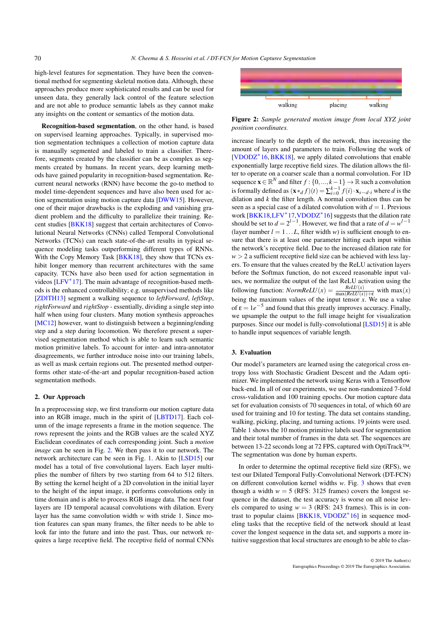<span id="page-1-1"></span>high-level features for segmentation. They have been the conventional method for segmenting skeletal motion data. Although, these approaches produce more sophisticated results and can be used for unseen data, they generally lack control of the feature selection and are not able to produce semantic labels as they cannot make any insights on the content or semantics of the motion data.

Recognition-based segmentation, on the other hand, is based on supervised learning approaches. Typically, in supervised motion segmentation techniques a collection of motion capture data is manually segmented and labeled to train a classifier. Therefore, segments created by the classifier can be as complex as segments created by humans. In recent years, deep learning methods have gained popularity in recognition-based segmentation. Recurrent neural networks (RNN) have become the go-to method to model time-dependent sequences and have also been used for action segmentation using motion capture data [\[DWW15\]](#page-3-7). However, one of their major drawbacks is the exploding and vanishing gradient problem and the difficulty to parallelize their training. Recent studies [\[BKK18\]](#page-3-8) suggest that certain architectures of Convolutional Neural Networks (CNNs) called Temporal Convolutional Networks (TCNs) can reach state-of-the-art results in typical sequence modeling tasks outperforming different types of RNNs. With the Copy Memory Task [\[BKK18\]](#page-3-8), they show that TCNs exhibit longer memory than recurrent architectures with the same capacity. TCNs have also been used for action segmentation in videos [\[LFV](#page-3-9)<sup>\*</sup>17]. The main advantage of recognition-based methods is the enhanced controllability; e.g. unsupervised methods like [\[ZDlTH13\]](#page-3-5) segment a walking sequence to *leftForward*, *leftStep*, *rightForward* and *rightStop* - essentially, dividing a single step into half when using four clusters. Many motion synthesis approaches [\[MC12\]](#page-3-0) however, want to distinguish between a beginning/ending step and a step during locomotion. We therefore present a supervised segmentation method which is able to learn such semantic motion primitive labels. To account for inter- and intra-annotator disagreements, we further introduce noise into our training labels, as well as mask certain regions out. The presented method outperforms other state-of-the-art and popular recognition-based action segmentation methods.

# 2. Our Approach

In a preprocessing step, we first transform our motion capture data into an RGB image, much in the spirit of [\[LBTD17\]](#page-3-10). Each column of the image represents a frame in the motion sequence. The rows represent the joints and the RGB values are the scaled XYZ Euclidean coordinates of each corresponding joint. Such a *motion image* can be seen in Fig. [2.](#page-1-0) We then pass it to our network. The network architecture can be seen in Fig. [1.](#page-0-0) Akin to [\[LSD15\]](#page-3-11) our model has a total of five convolutional layers. Each layer multiplies the number of filters by two starting from 64 to 512 filters. By setting the kernel height of a 2D convolution in the initial layer to the height of the input image, it performs convolutions only in time domain and is able to process RGB image data. The next four layers are 1D temporal acausal convolutions with dilation. Every layer has the same convolution width *w* with stride 1. Since motion features can span many frames, the filter needs to be able to look far into the future and into the past. Thus, our network requires a large receptive field. The receptive field of normal CNNs

<span id="page-1-0"></span>

Figure 2: *Sample generated motion image from local XYZ joint position coordinates.*

increase linearly to the depth of the network, thus increasing the amount of layers and parameters to train. Following the work of [\[VDODZ](#page-3-12)<sup>∗</sup> 16, [BKK18\]](#page-3-8), we apply dilated convolutions that enable exponentially large receptive field sizes. The dilation allows the filter to operate on a coarser scale than a normal convolution. For 1D sequence  $\mathbf{x} \in \mathbb{R}^N$  and filter  $f : \{0, ..., k-1\} \to \mathbb{R}$  such a convolution is formally defined as  $(\mathbf{x} *_{d} f)(t) = \sum_{i=0}^{k-1} f(i) \cdot \mathbf{x}_{s-d \cdot i}$  where *d* is the dilation and *k* the filter length. A normal convolution thus can be seen as a special case of a dilated convolution with  $d = 1$ . Previous work [\[BKK18,](#page-3-8)[LFV](#page-3-9)<sup>\*</sup>17, VDODZ<sup>\*</sup>16] suggests that the dilation rate should be set to  $d = 2^{l-1}$ . However, we find that a rate of  $d = w^{l-1}$ (layer number  $l = 1...L$ , filter width *w*) is sufficient enough to ensure that there is at least one parameter hitting each input within the network's receptive field. Due to the increased dilation rate for  $w > 2$  a sufficient receptive field size can be achieved with less layers. To ensure that the values created by the ReLU activation layers before the Softmax function, do not exceed reasonable input values, we normalize the output of the last ReLU activation using the following function:  $NormReLU(x) = \frac{ReLU(x)}{\max(ReLU(x)) + \varepsilon}$  with  $max(x)$ being the maximum values of the input tensor *x*. We use a value of  $\varepsilon = 1e^{-5}$  and found that this greatly improves accuracy. Finally, we upsample the output to the full image height for visualization purposes. Since our model is fully-convolutional [\[LSD15\]](#page-3-11) it is able to handle input sequences of variable length.

# 3. Evaluation

Our model's parameters are learned using the categorical cross entropy loss with Stochastic Gradient Descent and the Adam optimizer. We implemented the network using Keras with a Tensorflow back-end. In all of our experiments, we use non-randomized 7-fold cross-validation and 100 training epochs. Our motion capture data set for evaluation consists of 70 sequences in total, of which 60 are used for training and 10 for testing. The data set contains standing, walking, picking, placing, and turning actions. 19 joints were used. Table [1](#page-2-0) shows the 10 motion primitive labels used for segmentation and their total number of frames in the data set. The sequences are between 13-22 seconds long at 72 FPS, captured with OptiTrack™. The segmentation was done by human experts.

In order to determine the optimal receptive field size (RFS), we test our Dilated Temporal Fully-Convolutional Network (DT-FCN) on different convolution kernel widths *w*. Fig. [3](#page-2-1) shows that even though a width  $w = 5$  (RFS: 3125 frames) covers the longest sequence in the dataset, the test accuracy is worse on all noise levels compared to using  $w = 3$  (RFS: 243 frames). This is in con-trast to popular claims [\[BKK18,](#page-3-8) [VDODZ](#page-3-12)<sup>\*</sup>16] in sequence modeling tasks that the receptive field of the network should at least cover the longest sequence in the data set, and supports a more intuitive suggestion that local structures are enough to be able to clas-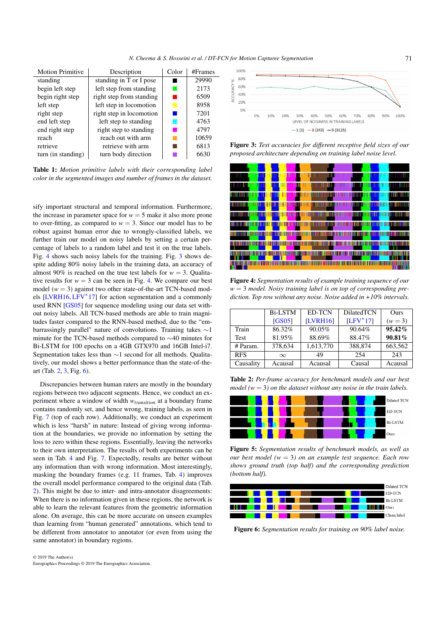*N. Cheema & S. Hosseini et al. / DT-FCN for Motion Capturee Segmentation*

<span id="page-2-5"></span><span id="page-2-0"></span>

| <b>Motion Primitive</b> | Description              | Color | #Frames |
|-------------------------|--------------------------|-------|---------|
| standing                | standing in T or I pose  |       | 29990   |
| begin left step         | left step from standing  |       | 2173    |
| begin right step        | right step from standing |       | 6509    |
| left step               | left step in locomotion  | L.    | 8958    |
| right step              | right step in locomotion |       | 7201    |
| end left step           | left step to standing    |       | 4763    |
| end right step          | right step to standing   |       | 4797    |
| reach                   | reach out with arm       |       | 10659   |
| retrieve                | retrieve with arm        |       | 6813    |
| turn (in standing)      | turn body direction      |       | 6630    |

Table 1: *Motion primitive labels with their corresponding label color in the segmented images and number of frames in the dataset.*

sify important structural and temporal information. Furthermore, the increase in parameter space for  $w = 5$  make it also more prone to over-fitting, as compared to  $w = 3$ . Since our model has to be robust against human error due to wrongly-classified labels, we further train our model on noisy labels by setting a certain percentage of labels to a random label and test it on the true labels. Fig. [4](#page-2-2) shows such noisy labels for the training. Fig. [3](#page-2-1) shows despite adding 80% noisy labels in the training data, an accuracy of almost 90% is reached on the true test labels for  $w = 3$ . Qualitative results for  $w = 3$  can be seen in Fig. [4.](#page-2-2) We compare our best model ( $w = 3$ ) against two other state-of-the-art TCN-based models [\[LVRH16,](#page-3-13) [LFV](#page-3-9)<sup>∗</sup> 17] for action segmentation and a commonly used RNN [\[GS05\]](#page-3-14) for sequence modeling using our data set without noisy labels. All TCN-based methods are able to train magnitudes faster compared to the RNN-based method, due to the "embarrassingly parallel" nature of convolutions. Training takes ∼1 minute for the TCN-based methods compared to ∼40 minutes for Bi-LSTM for 100 epochs on a 4GB GTX970 and 16GB Intel-i7. Segmentation takes less than ∼1 second for all methods. Qualitatively, our model shows a better performance than the state-of-theart (Tab. [2,](#page-2-3) [3,](#page-3-15) Fig. [6\)](#page-2-4).

Discrepancies between human raters are mostly in the boundary regions between two adjacent segments. Hence, we conduct an experiment where a window of width *wtransition* at a boundary frame contains randomly set, and hence wrong, training labels, as seen in Fig. [7](#page-3-16) (top of each row). Additionally, we conduct an experiment which is less "harsh" in nature: Instead of giving wrong information at the boundaries, we provide no information by setting the loss to zero within these regions. Essentially, leaving the networks to their own interpretation. The results of both experiments can be seen in Tab. [4](#page-3-17) and Fig. [7.](#page-3-16) Expectedly, results are better without any information than with wrong information. Most interestingly, masking the boundary frames (e.g. 11 frames, Tab. [4\)](#page-3-17) improves the overall model performance compared to the original data (Tab. [2\)](#page-2-3). This might be due to inter- and intra-annotator disagreements: When there is no information given in these regions, the network is able to learn the relevant features from the geometric information alone. On average, this can be more accurate on unseen examples than learning from "human generated" annotations, which tend to be different from annotator to annotator (or even from using the same annotator) in boundary regions.

<span id="page-2-1"></span>

Figure 3: *Test accuracies for different receptive field sizes of our proposed architecture depending on training label noise level.*

<span id="page-2-2"></span>

Figure 4: *Segmentation results of example training sequence of our w* = 3 *model. Noisy training label is on top of corresponding prediction. Top row without any noise. Noise added in +10% intervals.*

<span id="page-2-3"></span>

|             | <b>Bi-LSTM</b> | ED-TCN          | <b>DilatedTCN</b> | Ours      |
|-------------|----------------|-----------------|-------------------|-----------|
|             | [GS05]         | <b>[LVRH16]</b> | $[LFV*17]$        | $(w = 3)$ |
| Train       | 86.32%         | 90.05%          | 90.64%            | $95.42\%$ |
| <b>Test</b> | 81.95%         | 88.69%          | 88.47%            | 90.81%    |
| # Param.    | 378,634        | 1,613,770       | 388,874           | 663,562   |
| <b>RFS</b>  | $\infty$       | 49              | 254               | 243       |
| Causality   | Acausal        | Acausal         | Causal            | Acausal   |

Table 2: *Per-frame accuracy for benchmark models and our best model* ( $w = 3$ ) *on the dataset without any noise in the train labels.* 



Figure 5: *Segmentation results of benchmark models, as well as our best model (w* = 3*) on an example test sequence. Each row shows ground truth (top half) and the corresponding prediction (bottom half).*

<span id="page-2-4"></span>

Figure 6: *Segmentation results for training on 90% label noise.*